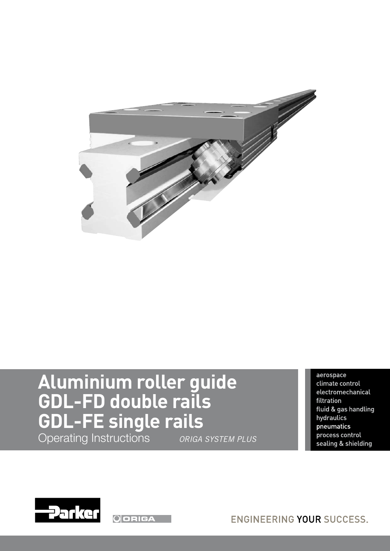

# **Aluminium roller guide GDL-FD double rails GDL-FE single rails** Operating Instructions *ORIGA SYSTEM PLUS*

aerospace climate control electromechanical filtration fluid & gas handling hydraulics pneumatics process control sealing & shielding



**ODRIGA** 

**ENGINEERING YOUR SUCCESS.**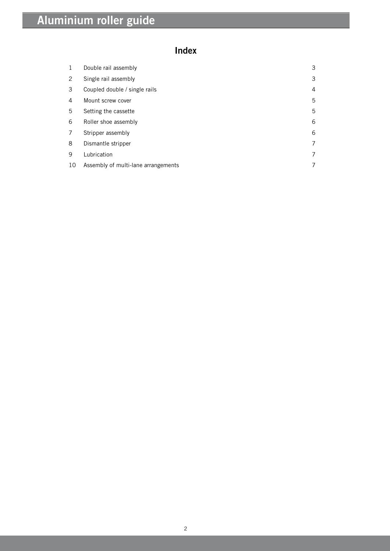# **Index**

| $\mathbf{1}$ | Double rail assembly                | 3 |
|--------------|-------------------------------------|---|
| 2            | Single rail assembly                | 3 |
| 3            | Coupled double / single rails       | 4 |
| 4            | Mount screw cover                   | 5 |
| 5            | Setting the cassette                | 5 |
| 6            | Roller shoe assembly                | 6 |
| 7            | Stripper assembly                   | 6 |
| 8            | Dismantle stripper                  | 7 |
| 9            | Lubrication                         | 7 |
| 10           | Assembly of multi-lane arrangements | 7 |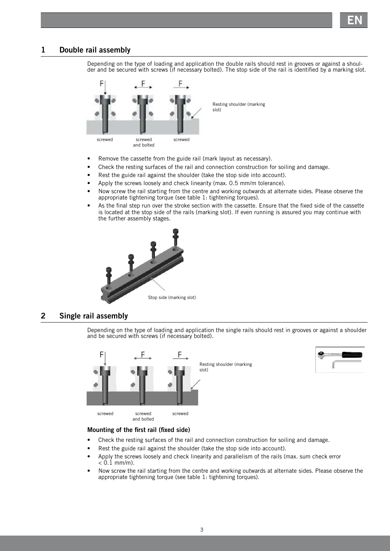

### **1 Double rail assembly**

Depending on the type of loading and application the double rails should rest in grooves or against a shoulder and be secured with screws (if necessary bolted). The stop side of the rail is identified by a marking slot.



- Remove the cassette from the guide rail (mark layout as necessary).
- Check the resting surfaces of the rail and connection construction for soiling and damage.
- Rest the guide rail against the shoulder (take the stop side into account).
- Apply the screws loosely and check linearity (max. 0.5 mm/m tolerance).
- Now screw the rail starting from the centre and working outwards at alternate sides. Please observe the appropriate tightening torque (see table 1: tightening torques).
- As the final step run over the stroke section with the cassette. Ensure that the fixed side of the cassette is located at the stop side of the rails (marking slot). If even running is assured you may continue with the further assembly stages.



### **2 Single rail assembly**

Depending on the type of loading and application the single rails should rest in grooves or against a shoulder and be secured with screws (if necessary bolted).



#### **Mounting of the first rail (fixed side)**

- Check the resting surfaces of the rail and connection construction for soiling and damage.
- Rest the guide rail against the shoulder (take the stop side into account).
- Apply the screws loosely and check linearity and parallelism of the rails (max. sum check error  $< 0.1$  mm/m).
- Now screw the rail starting from the centre and working outwards at alternate sides. Please observe the appropriate tightening torque (see table 1: tightening torques).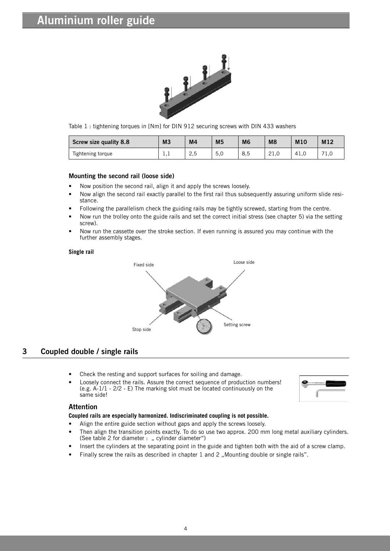

Table 1 : tightening torques in [Nm] for DIN 912 securing screws with DIN 433 washers

| Screw size quality 8.8 | M <sub>3</sub> | M <sub>4</sub> | M <sub>5</sub> | M <sub>6</sub> | M <sub>8</sub>        | M <sub>10</sub> | M12 |
|------------------------|----------------|----------------|----------------|----------------|-----------------------|-----------------|-----|
| Tightening torque      | ⊥,⊥            | っに<br>ر ۽      | 5,0            | 8,5            | $\bigcap$<br>$2 + 10$ | 41.G            | 1.0 |

#### **Mounting the second rail (loose side)**

- Now position the second rail, align it and apply the screws loosely.
- Now align the second rail exactly parallel to the first rail thus subsequently assuring uniform slide resistance.
- Following the parallelism check the guiding rails may be tightly screwed, starting from the centre.
- Now run the trolley onto the guide rails and set the correct initial stress (see chapter 5) via the setting screw).
- Now run the cassette over the stroke section. If even running is assured you may continue with the further assembly stages.

#### **Single rail**



# **3 Coupled double / single rails**

- Check the resting and support surfaces for soiling and damage.
- Loosely connect the rails. Assure the correct sequence of production numbers! (e.g. A-1/1 - 2/2 - E) The marking slot must be located continuously on the same side!



#### **Attention**

#### **Coupled rails are especially harmonized. Indiscriminated coupling is not possible.**

- Align the entire guide section without gaps and apply the screws loosely.
- Then align the transition points exactly. To do so use two approx. 200 mm long metal auxiliary cylinders. (See table 2 for diameter : " cylinder diameter")
- Insert the cylinders at the separating point in the guide and tighten both with the aid of a screw clamp.
- Finally screw the rails as described in chapter 1 and 2 "Mounting double or single rails".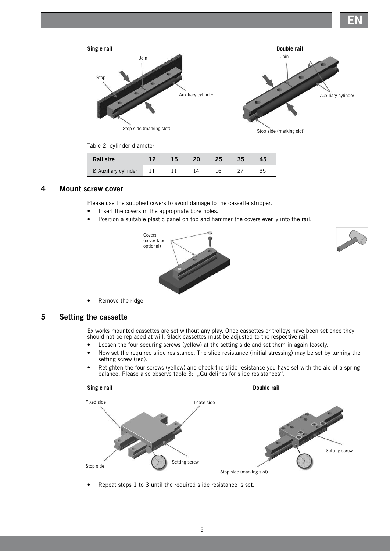**EN**



Table 2: cylinder diameter

| Rail size            |  | 20 | 35 | 45 |
|----------------------|--|----|----|----|
| Ø Auxiliary cylinder |  |    |    | 35 |

#### **4 Mount screw cover**

Please use the supplied covers to avoid damage to the cassette stripper.

- Insert the covers in the appropriate bore holes.
- Position a suitable plastic panel on top and hammer the covers evenly into the rail.





• Remove the ridge.

# **5 Setting the cassette**

Ex works mounted cassettes are set without any play. Once cassettes or trolleys have been set once they should not be replaced at will. Slack cassettes must be adjusted to the respective rail.

- Loosen the four securing screws (yellow) at the setting side and set them in again loosely.
- Now set the required slide resistance. The slide resistance (initial stressing) may be set by turning the setting screw (red).
- Retighten the four screws (yellow) and check the slide resistance you have set with the aid of a spring balance. Please also observe table 3: "Guidelines for slide resistances".



Repeat steps 1 to 3 until the required slide resistance is set.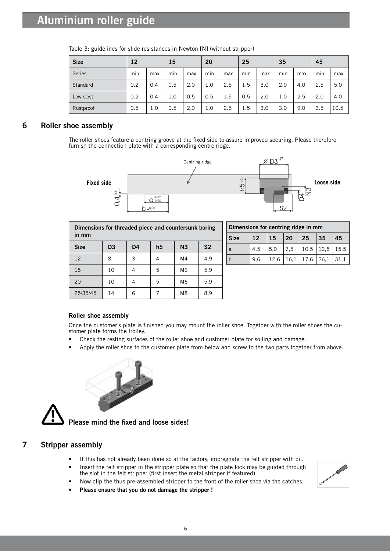| <b>Size</b>   | 12  |     | 15  |     | 20  |     | 25  |     | 35  |     | 45  |      |
|---------------|-----|-----|-----|-----|-----|-----|-----|-----|-----|-----|-----|------|
| <b>Series</b> | min | max | min | max | min | max | min | max | min | max | min | max  |
| Standard      | 0.2 | 0.4 | 0.5 | 2.0 | 1.0 | 2.5 | 1.5 | 3.0 | 2.0 | 4.0 | 2.5 | 5.0  |
| Low-Cost      | 0.2 | 0.4 | 1.0 | 0.5 | 0.5 | 1.5 | 0.5 | 2.0 | 1.0 | 2.5 | 2.0 | 4.0  |
| Rustproof     | 0.5 | 1.0 | 0.5 | 2.0 | 1.0 | 2.5 | 1.5 | 3.0 | 3.0 | 9.0 | 3.5 | 10.5 |

Table 3: guidelines for slide resistances in Newton [N] (without stripper)

# **6 Roller shoe assembly**

The roller shoes feature a centring groove at the fixed side to assure improved securing. Please therefore furnish the connection plate with a corresponding centre ridge.



| Dimensions for threaded piece and countersunk boring<br>in mm |                |                |                |                |                |  |  |  |  |
|---------------------------------------------------------------|----------------|----------------|----------------|----------------|----------------|--|--|--|--|
| <b>Size</b>                                                   | D <sub>3</sub> | D <sub>4</sub> | h <sub>5</sub> | N <sub>3</sub> | S <sub>2</sub> |  |  |  |  |
| 12                                                            | 8              | 3              | 4              | M4             | 4,9            |  |  |  |  |
| 15                                                            | 10             |                | 5              | M <sub>6</sub> | 5,9            |  |  |  |  |
| 20                                                            | 10             | 4              | 5              | M6             | 5,9            |  |  |  |  |
| 25/35/45                                                      | 14             | 6              |                | M8             | 8,9            |  |  |  |  |

| Dimensions for centring ridge in mm |     |      |      |           |             |      |
|-------------------------------------|-----|------|------|-----------|-------------|------|
| <b>Size</b>                         | 12  | 15   | 20   | 25        | 35          | 45   |
| а                                   | 4.5 | 5.0  | 7,5  | 10,5      | $12,5$ 15,5 |      |
|                                     | 9.6 | 12.6 | 16,1 | 17,6 26,1 |             | 31.1 |

#### **Roller shoe assembly**

Once the customer's plate is finished you may mount the roller shoe. Together with the roller shoes the customer plate forms the trolley.

- Check the resting surfaces of the roller shoe and customer plate for soiling and damage.
- Apply the roller shoe to the customer plate from below and screw to the two parts together from above.





**Please mind the fixed and loose sides!**

# **7 Stripper assembly**

- If this has not already been done so at the factory, impregnate the felt stripper with oil.
- Insert the felt stripper in the stripper plate so that the plate lock may be guided through the slot in the felt stripper (first insert the metal stripper if featured).



- Now clip the thus pre-assembled stripper to the front of the roller shoe via the catches.
- **• Please ensure that you do not damage the stripper !**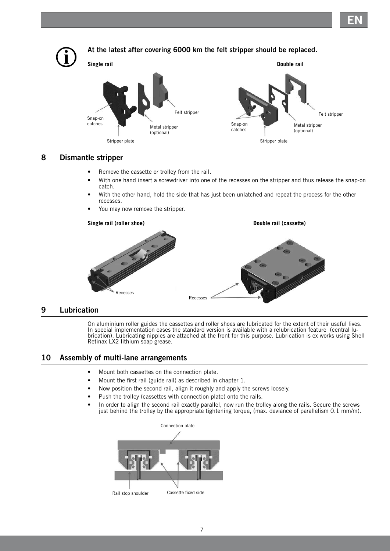**EN**



# **8 Dismantle stripper**

- Remove the cassette or trolley from the rail.
- With one hand insert a screwdriver into one of the recesses on the stripper and thus release the snap-on catch.
- With the other hand, hold the side that has just been unlatched and repeat the process for the other recesses.
- You may now remove the stripper.



# **9 Lubrication**

On aluminium roller guides the cassettes and roller shoes are lubricated for the extent of their useful lives. In special implementation cases the standard version is available with a relubrication feature (central lubrication). Lubricating nipples are attached at the front for this purpose. Lubrication is ex works using Shell Retinax LX2 lithium soap grease.

# **10 Assembly of multi-lane arrangements**

- Mount both cassettes on the connection plate.
- Mount the first rail (guide rail) as described in chapter 1.
- Now position the second rail, align it roughly and apply the screws loosely.
- Push the trolley (cassettes with connection plate) onto the rails.
- In order to align the second rail exactly parallel, now run the trolley along the rails. Secure the screws just behind the trolley by the appropriate tightening torque, (max. deviance of parallelism 0.1 mm/m).